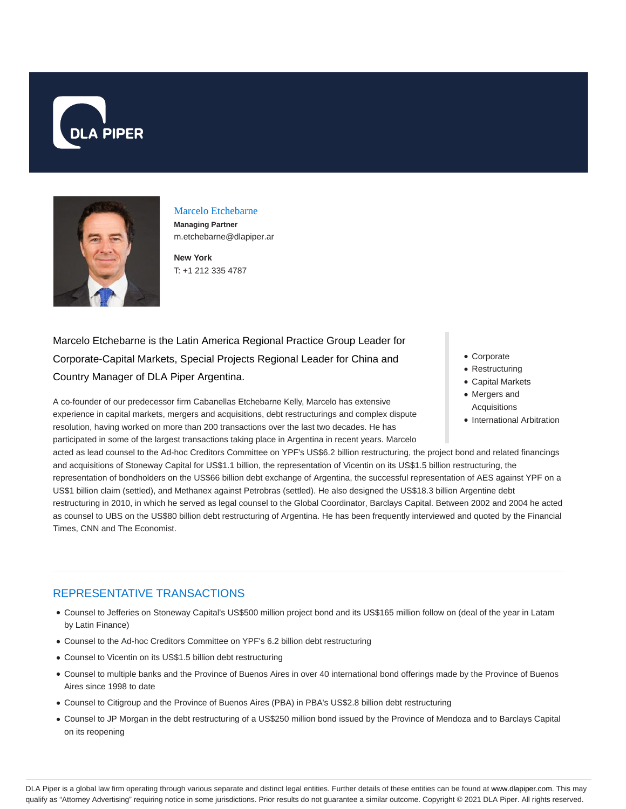



# Marcelo Etchebarne

**Managing Partner** m.etchebarne@dlapiper.ar

**New York** T: +1 212 335 4787

# Marcelo Etchebarne is the Latin America Regional Practice Group Leader for Corporate-Capital Markets, Special Projects Regional Leader for China and Country Manager of DLA Piper Argentina.

A co-founder of our predecessor firm Cabanellas Etchebarne Kelly, Marcelo has extensive experience in capital markets, mergers and acquisitions, debt restructurings and complex dispute resolution, having worked on more than 200 transactions over the last two decades. He has participated in some of the largest transactions taking place in Argentina in recent years. Marcelo Corporate

- Restructuring
- Capital Markets
- Mergers and Acquisitions
- International Arbitration

acted as lead counsel to the Ad-hoc Creditors Committee on YPF's US\$6.2 billion restructuring, the project bond and related financings and acquisitions of Stoneway Capital for US\$1.1 billion, the representation of Vicentin on its US\$1.5 billion restructuring, the representation of bondholders on the US\$66 billion debt exchange of Argentina, the successful representation of AES against YPF on a

US\$1 billion claim (settled), and Methanex against Petrobras (settled). He also designed the US\$18.3 billion Argentine debt restructuring in 2010, in which he served as legal counsel to the Global Coordinator, Barclays Capital. Between 2002 and 2004 he acted as counsel to UBS on the US\$80 billion debt restructuring of Argentina. He has been frequently interviewed and quoted by the Financial

Times, CNN and The Economist.

## REPRESENTATIVE TRANSACTIONS

- Counsel to Jefferies on Stoneway Capital's US\$500 million project bond and its US\$165 million follow on (deal of the year in Latam by Latin Finance)
- Counsel to the Ad-hoc Creditors Committee on YPF's 6.2 billion debt restructuring
- Counsel to Vicentin on its US\$1.5 billion debt restructuring
- Counsel to multiple banks and the Province of Buenos Aires in over 40 international bond offerings made by the Province of Buenos Aires since 1998 to date
- Counsel to Citigroup and the Province of Buenos Aires (PBA) in PBA's US\$2.8 billion debt restructuring
- Counsel to JP Morgan in the debt restructuring of a US\$250 million bond issued by the Province of Mendoza and to Barclays Capital on its reopening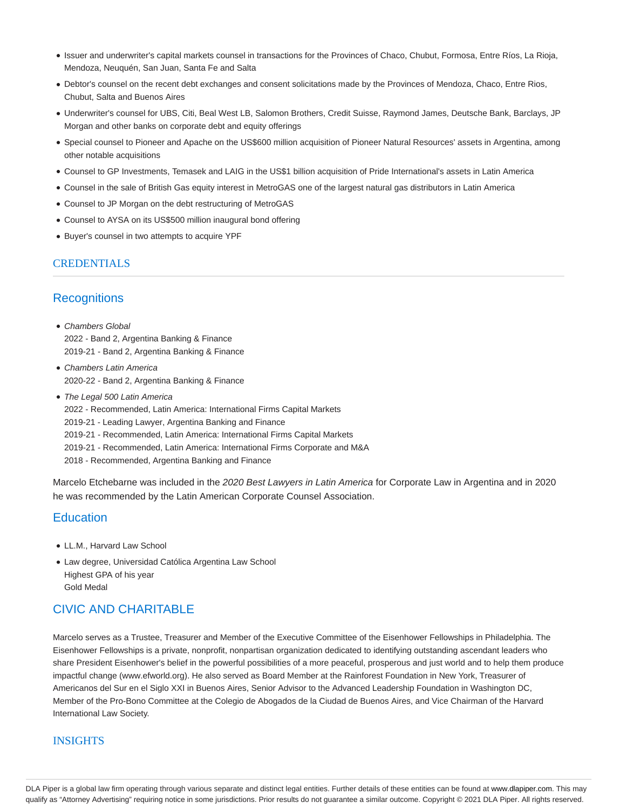- Issuer and underwriter's capital markets counsel in transactions for the Provinces of Chaco, Chubut, Formosa, Entre Ríos, La Rioja, Mendoza, Neuquén, San Juan, Santa Fe and Salta
- Debtor's counsel on the recent debt exchanges and consent solicitations made by the Provinces of Mendoza, Chaco, Entre Rios, Chubut, Salta and Buenos Aires
- Underwriter's counsel for UBS, Citi, Beal West LB, Salomon Brothers, Credit Suisse, Raymond James, Deutsche Bank, Barclays, JP Morgan and other banks on corporate debt and equity offerings
- Special counsel to Pioneer and Apache on the US\$600 million acquisition of Pioneer Natural Resources' assets in Argentina, among other notable acquisitions
- Counsel to GP Investments, Temasek and LAIG in the US\$1 billion acquisition of Pride International's assets in Latin America
- Counsel in the sale of British Gas equity interest in MetroGAS one of the largest natural gas distributors in Latin America
- Counsel to JP Morgan on the debt restructuring of MetroGAS
- Counsel to AYSA on its US\$500 million inaugural bond offering
- Buyer's counsel in two attempts to acquire YPF

## **CREDENTIALS**

## **Recognitions**

- Chambers Global 2022 - Band 2, Argentina Banking & Finance 2019-21 - Band 2, Argentina Banking & Finance
- Chambers Latin America 2020-22 - Band 2, Argentina Banking & Finance
- The Legal 500 Latin America 2022 - Recommended, Latin America: International Firms Capital Markets 2019-21 - Leading Lawyer, Argentina Banking and Finance 2019-21 - Recommended, Latin America: International Firms Capital Markets 2019-21 - Recommended, Latin America: International Firms Corporate and M&A 2018 - Recommended, Argentina Banking and Finance

Marcelo Etchebarne was included in the 2020 Best Lawyers in Latin America for Corporate Law in Argentina and in 2020 he was recommended by the Latin American Corporate Counsel Association.

### **Education**

- LL.M., Harvard Law School
- Law degree, Universidad Católica Argentina Law School Highest GPA of his year Gold Medal

## CIVIC AND CHARITABLE

Marcelo serves as a Trustee, Treasurer and Member of the Executive Committee of the Eisenhower Fellowships in Philadelphia. The Eisenhower Fellowships is a private, nonprofit, nonpartisan organization dedicated to identifying outstanding ascendant leaders who share President Eisenhower's belief in the powerful possibilities of a more peaceful, prosperous and just world and to help them produce impactful change (www.efworld.org). He also served as Board Member at the Rainforest Foundation in New York, Treasurer of Americanos del Sur en el Siglo XXI in Buenos Aires, Senior Advisor to the Advanced Leadership Foundation in Washington DC, Member of the Pro-Bono Committee at the Colegio de Abogados de la Ciudad de Buenos Aires, and Vice Chairman of the Harvard International Law Society.

### INSIGHTS

DLA Piper is a global law firm operating through various separate and distinct legal entities. Further details of these entities can be found at www.dlapiper.com. This may qualify as "Attorney Advertising" requiring notice in some jurisdictions. Prior results do not guarantee a similar outcome. Copyright @ 2021 DLA Piper. All rights reserved.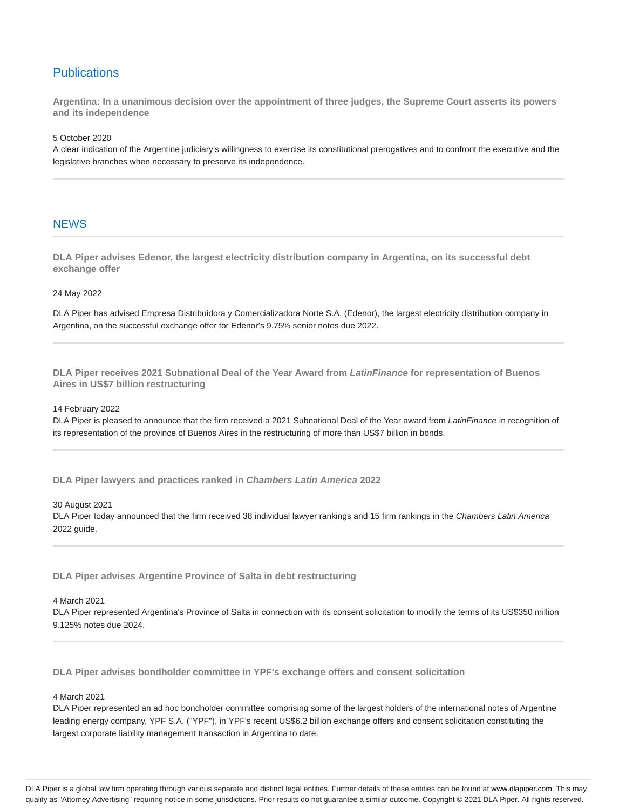## **Publications**

**Argentina: In a unanimous decision over the appointment of three judges, the Supreme Court asserts its powers and its independence**

5 October 2020

A clear indication of the Argentine judiciary's willingness to exercise its constitutional prerogatives and to confront the executive and the legislative branches when necessary to preserve its independence.

#### **NEWS**

**DLA Piper advises Edenor, the largest electricity distribution company in Argentina, on its successful debt exchange offer**

#### 24 May 2022

DLA Piper has advised Empresa Distribuidora y Comercializadora Norte S.A. (Edenor), the largest electricity distribution company in Argentina, on the successful exchange offer for Edenor's 9.75% senior notes due 2022.

**DLA Piper receives 2021 Subnational Deal of the Year Award from LatinFinance for representation of Buenos Aires in US\$7 billion restructuring**

#### 14 February 2022

DLA Piper is pleased to announce that the firm received a 2021 Subnational Deal of the Year award from LatinFinance in recognition of its representation of the province of Buenos Aires in the restructuring of more than US\$7 billion in bonds.

**DLA Piper lawyers and practices ranked in Chambers Latin America 2022**

#### 30 August 2021

DLA Piper today announced that the firm received 38 individual lawyer rankings and 15 firm rankings in the Chambers Latin America 2022 guide.

**DLA Piper advises Argentine Province of Salta in debt restructuring**

#### 4 March 2021

DLA Piper represented Argentina's Province of Salta in connection with its consent solicitation to modify the terms of its US\$350 million 9.125% notes due 2024.

**DLA Piper advises bondholder committee in YPF's exchange offers and consent solicitation**

#### 4 March 2021

DLA Piper represented an ad hoc bondholder committee comprising some of the largest holders of the international notes of Argentine leading energy company, YPF S.A. ("YPF"), in YPF's recent US\$6.2 billion exchange offers and consent solicitation constituting the largest corporate liability management transaction in Argentina to date.

DLA Piper is a global law firm operating through various separate and distinct legal entities. Further details of these entities can be found at www.dlapiper.com. This may qualify as "Attorney Advertising" requiring notice in some jurisdictions. Prior results do not guarantee a similar outcome. Copyright @ 2021 DLA Piper. All rights reserved.